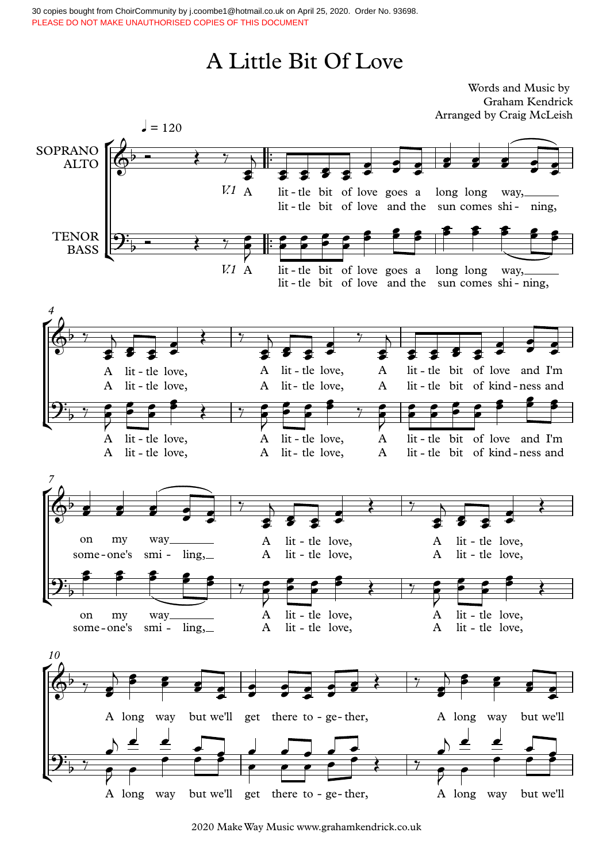30 copies bought from ChoirCommunity by j.coombe1@hotmail.co.uk on April 25, 2020. Order No. 93698. PLEASE DO NOT MAKE UNAUTHORISED COPIES OF THIS DOCUMENT

## A Little Bit Of Love

Words and Music by Graham Kendrick Arranged by Craig McLeish

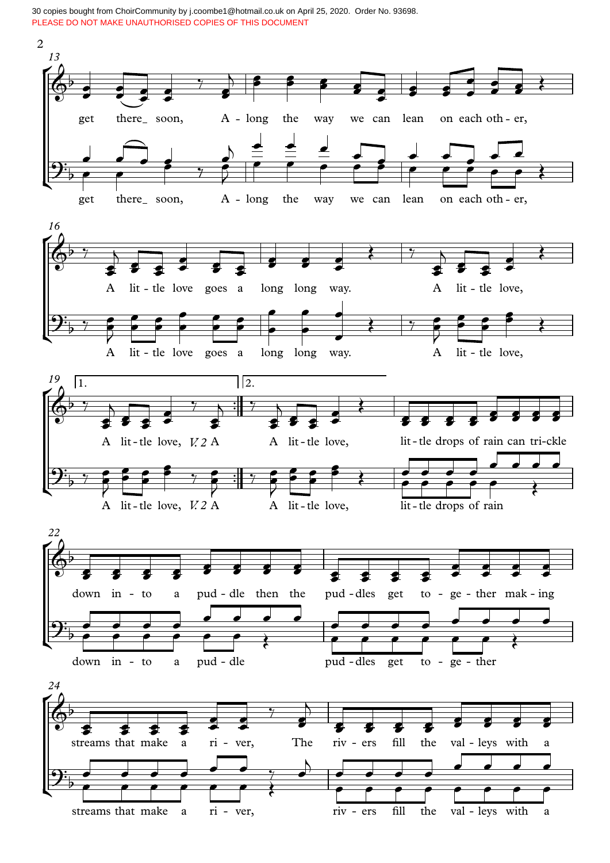30 copies bought from ChoirCommunity by j.coombe1@hotmail.co.uk on April 25, 2020. Order No. 93698. PLEASE DO NOT MAKE UNAUTHORISED COPIES OF THIS DOCUMENT